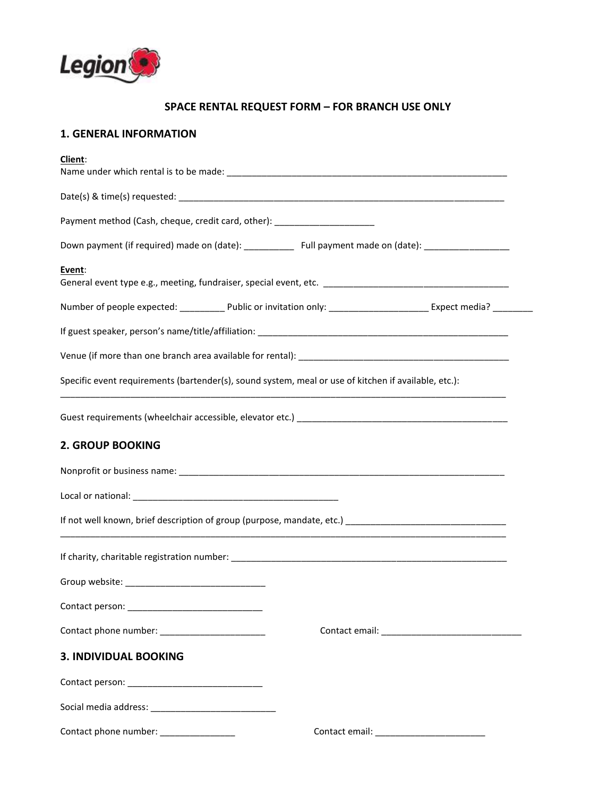

# **SPACE RENTAL REQUEST FORM – FOR BRANCH USE ONLY**

# **1. GENERAL INFORMATION**

| Client:                                                                                              |                                                                                                                              |
|------------------------------------------------------------------------------------------------------|------------------------------------------------------------------------------------------------------------------------------|
|                                                                                                      |                                                                                                                              |
| Payment method (Cash, cheque, credit card, other): ________________________                          |                                                                                                                              |
|                                                                                                      | Down payment (if required) made on (date): _____________ Full payment made on (date): ____________________                   |
| Event:                                                                                               |                                                                                                                              |
|                                                                                                      | Number of people expected: _____________ Public or invitation only: _______________________________ Expect media? __________ |
|                                                                                                      |                                                                                                                              |
|                                                                                                      |                                                                                                                              |
| Specific event requirements (bartender(s), sound system, meal or use of kitchen if available, etc.): |                                                                                                                              |
|                                                                                                      |                                                                                                                              |
| 2. GROUP BOOKING                                                                                     |                                                                                                                              |
|                                                                                                      |                                                                                                                              |
|                                                                                                      |                                                                                                                              |
|                                                                                                      |                                                                                                                              |
|                                                                                                      |                                                                                                                              |
|                                                                                                      |                                                                                                                              |
|                                                                                                      |                                                                                                                              |
|                                                                                                      |                                                                                                                              |
| <b>3. INDIVIDUAL BOOKING</b>                                                                         |                                                                                                                              |
|                                                                                                      |                                                                                                                              |
|                                                                                                      |                                                                                                                              |
| Contact phone number: ________________                                                               |                                                                                                                              |